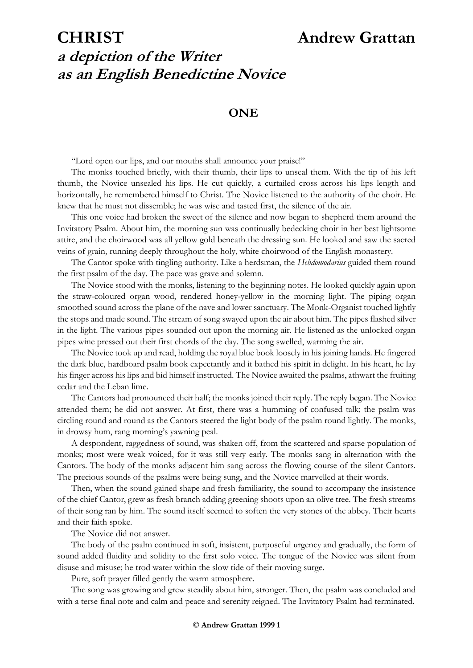# **CHRIST Andrew Grattan a depiction of the Writer as an English Benedictine Novice**

### **ONE**

"Lord open our lips, and our mouths shall announce your praise!"

The monks touched briefly, with their thumb, their lips to unseal them. With the tip of his left thumb, the Novice unsealed his lips. He cut quickly, a curtailed cross across his lips length and horizontally, he remembered himself to Christ. The Novice listened to the authority of the choir. He knew that he must not dissemble; he was wise and tasted first, the silence of the air.

This one voice had broken the sweet of the silence and now began to shepherd them around the Invitatory Psalm. About him, the morning sun was continually bedecking choir in her best lightsome attire, and the choirwood was all yellow gold beneath the dressing sun. He looked and saw the sacred veins of grain, running deeply throughout the holy, white choirwood of the English monastery.

The Cantor spoke with tingling authority. Like a herdsman, the *Hebdomodarius* guided them round the first psalm of the day. The pace was grave and solemn.

The Novice stood with the monks, listening to the beginning notes. He looked quickly again upon the straw-coloured organ wood, rendered honey-yellow in the morning light. The piping organ smoothed sound across the plane of the nave and lower sanctuary. The Monk-Organist touched lightly the stops and made sound. The stream of song swayed upon the air about him. The pipes flashed silver in the light. The various pipes sounded out upon the morning air. He listened as the unlocked organ pipes wine pressed out their first chords of the day. The song swelled, warming the air.

The Novice took up and read, holding the royal blue book loosely in his joining hands. He fingered the dark blue, hardboard psalm book expectantly and it bathed his spirit in delight. In his heart, he lay his finger across his lips and bid himself instructed. The Novice awaited the psalms, athwart the fruiting cedar and the Leban lime.

The Cantors had pronounced their half; the monks joined their reply. The reply began. The Novice attended them; he did not answer. At first, there was a humming of confused talk; the psalm was circling round and round as the Cantors steered the light body of the psalm round lightly. The monks, in drowsy hum, rang morning's yawning peal.

A despondent, raggedness of sound, was shaken off, from the scattered and sparse population of monks; most were weak voiced, for it was still very early. The monks sang in alternation with the Cantors. The body of the monks adjacent him sang across the flowing course of the silent Cantors. The precious sounds of the psalms were being sung, and the Novice marvelled at their words.

Then, when the sound gained shape and fresh familiarity, the sound to accompany the insistence of the chief Cantor, grew as fresh branch adding greening shoots upon an olive tree. The fresh streams of their song ran by him. The sound itself seemed to soften the very stones of the abbey. Their hearts and their faith spoke.

The Novice did not answer.

The body of the psalm continued in soft, insistent, purposeful urgency and gradually, the form of sound added fluidity and solidity to the first solo voice. The tongue of the Novice was silent from disuse and misuse; he trod water within the slow tide of their moving surge.

Pure, soft prayer filled gently the warm atmosphere.

The song was growing and grew steadily about him, stronger. Then, the psalm was concluded and with a terse final note and calm and peace and serenity reigned. The Invitatory Psalm had terminated.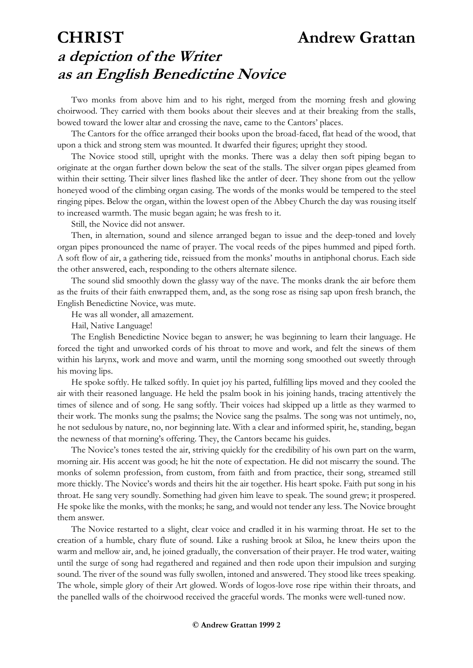# **CHRIST Andrew Grattan a depiction of the Writer as an English Benedictine Novice**

Two monks from above him and to his right, merged from the morning fresh and glowing choirwood. They carried with them books about their sleeves and at their breaking from the stalls, bowed toward the lower altar and crossing the nave, came to the Cantors' places.

The Cantors for the office arranged their books upon the broad-faced, flat head of the wood, that upon a thick and strong stem was mounted. It dwarfed their figures; upright they stood.

The Novice stood still, upright with the monks. There was a delay then soft piping began to originate at the organ further down below the seat of the stalls. The silver organ pipes gleamed from within their setting. Their silver lines flashed like the antler of deer. They shone from out the yellow honeyed wood of the climbing organ casing. The words of the monks would be tempered to the steel ringing pipes. Below the organ, within the lowest open of the Abbey Church the day was rousing itself to increased warmth. The music began again; he was fresh to it.

Still, the Novice did not answer.

Then, in alternation, sound and silence arranged began to issue and the deep-toned and lovely organ pipes pronounced the name of prayer. The vocal reeds of the pipes hummed and piped forth. A soft flow of air, a gathering tide, reissued from the monks' mouths in antiphonal chorus. Each side the other answered, each, responding to the others alternate silence.

The sound slid smoothly down the glassy way of the nave. The monks drank the air before them as the fruits of their faith enwrapped them, and, as the song rose as rising sap upon fresh branch, the English Benedictine Novice, was mute.

He was all wonder, all amazement.

Hail, Native Language!

The English Benedictine Novice began to answer; he was beginning to learn their language. He forced the tight and unworked cords of his throat to move and work, and felt the sinews of them within his larynx, work and move and warm, until the morning song smoothed out sweetly through his moving lips.

He spoke softly. He talked softly. In quiet joy his parted, fulfilling lips moved and they cooled the air with their reasoned language. He held the psalm book in his joining hands, tracing attentively the times of silence and of song. He sang softly. Their voices had skipped up a little as they warmed to their work. The monks sung the psalms; the Novice sang the psalms. The song was not untimely, no, he not sedulous by nature, no, nor beginning late. With a clear and informed spirit, he, standing, began the newness of that morning's offering. They, the Cantors became his guides.

The Novice's tones tested the air, striving quickly for the credibility of his own part on the warm, morning air. His accent was good; he hit the note of expectation. He did not miscarry the sound. The monks of solemn profession, from custom, from faith and from practice, their song, streamed still more thickly. The Novice's words and theirs hit the air together. His heart spoke. Faith put song in his throat. He sang very soundly. Something had given him leave to speak. The sound grew; it prospered. He spoke like the monks, with the monks; he sang, and would not tender any less. The Novice brought them answer.

The Novice restarted to a slight, clear voice and cradled it in his warming throat. He set to the creation of a humble, chary flute of sound. Like a rushing brook at Siloa, he knew theirs upon the warm and mellow air, and, he joined gradually, the conversation of their prayer. He trod water, waiting until the surge of song had regathered and regained and then rode upon their impulsion and surging sound. The river of the sound was fully swollen, intoned and answered. They stood like trees speaking. The whole, simple glory of their Art glowed. Words of logos-love rose ripe within their throats, and the panelled walls of the choirwood received the graceful words. The monks were well-tuned now.